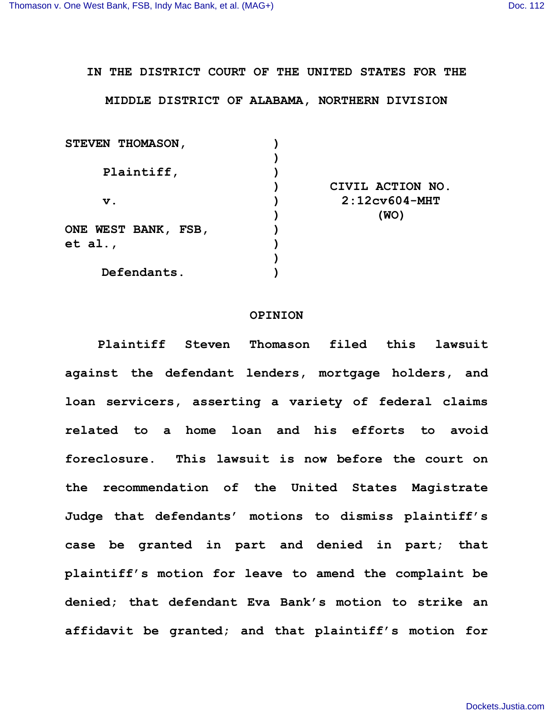## **IN THE DISTRICT COURT OF THE UNITED STATES FOR THE**

## **MIDDLE DISTRICT OF ALABAMA, NORTHERN DIVISION**

| STEVEN THOMASON,    |                  |
|---------------------|------------------|
|                     |                  |
| Plaintiff,          |                  |
|                     | CIVIL ACTION NO. |
| $\mathbf v$ .       | $2:12c$ v604-MHT |
|                     | (WO)             |
| ONE WEST BANK, FSB, |                  |
| et al.,             |                  |
|                     |                  |
| Defendants.         |                  |
|                     |                  |

## **OPINION**

**Plaintiff Steven Thomason filed this lawsuit against the defendant lenders, mortgage holders, and loan servicers, asserting a variety of federal claims related to a home loan and his efforts to avoid foreclosure. This lawsuit is now before the court on the recommendation of the United States Magistrate Judge that defendants' motions to dismiss plaintiff's case be granted in part and denied in part; that plaintiff's motion for leave to amend the complaint be denied; that defendant Eva Bank's motion to strike an affidavit be granted; and that plaintiff's motion for**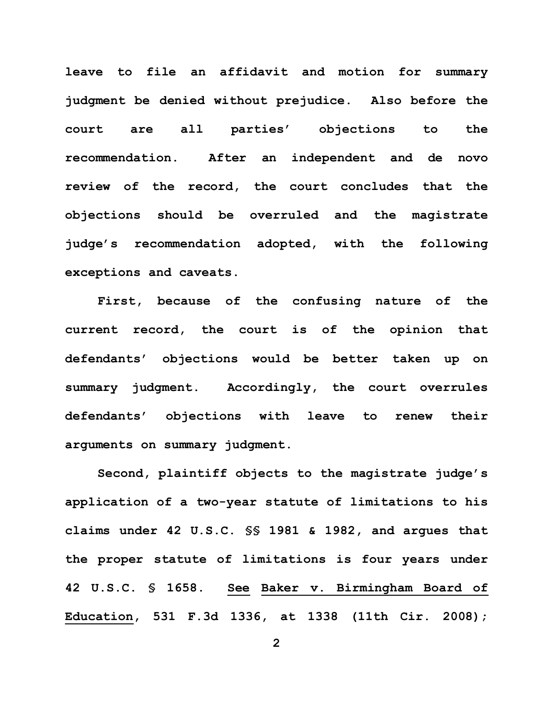**leave to file an affidavit and motion for summary judgment be denied without prejudice. Also before the court are all parties' objections to the recommendation. After an independent and de novo review of the record, the court concludes that the objections should be overruled and the magistrate judge's recommendation adopted, with the following exceptions and caveats.** 

**First, because of the confusing nature of the current record, the court is of the opinion that defendants' objections would be better taken up on summary judgment. Accordingly, the court overrules defendants' objections with leave to renew their arguments on summary judgment.** 

**Second, plaintiff objects to the magistrate judge's application of a two-year statute of limitations to his claims under 42 U.S.C. §§ 1981 & 1982, and argues that the proper statute of limitations is four years under 42 U.S.C. § 1658. See Baker v. Birmingham Board of Education, 531 F.3d 1336, at 1338 (11th Cir. 2008);** 

**2**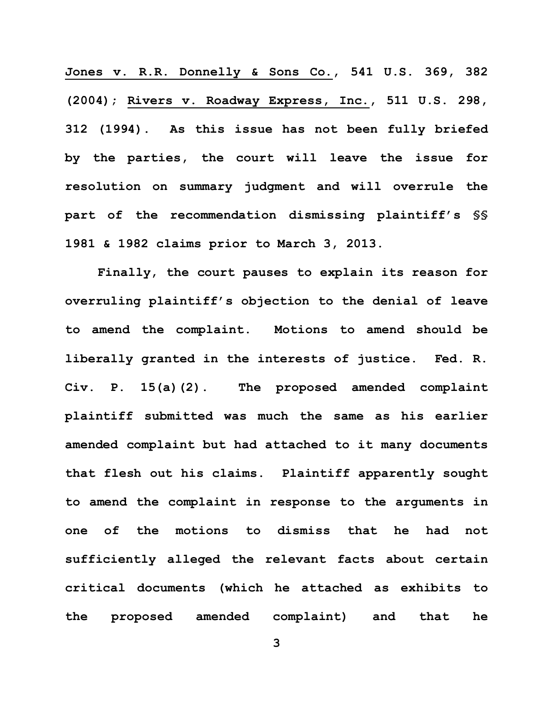**Jones v. R.R. Donnelly & Sons Co., 541 U.S. 369, 382 (2004); Rivers v. Roadway Express, Inc., 511 U.S. 298, 312 (1994). As this issue has not been fully briefed by the parties, the court will leave the issue for resolution on summary judgment and will overrule the part of the recommendation dismissing plaintiff's §§ 1981 & 1982 claims prior to March 3, 2013.** 

**Finally, the court pauses to explain its reason for overruling plaintiff's objection to the denial of leave to amend the complaint. Motions to amend should be liberally granted in the interests of justice. Fed. R. Civ. P. 15(a)(2). The proposed amended complaint plaintiff submitted was much the same as his earlier amended complaint but had attached to it many documents that flesh out his claims. Plaintiff apparently sought to amend the complaint in response to the arguments in one of the motions to dismiss that he had not sufficiently alleged the relevant facts about certain critical documents (which he attached as exhibits to the proposed amended complaint) and that he**

**3**